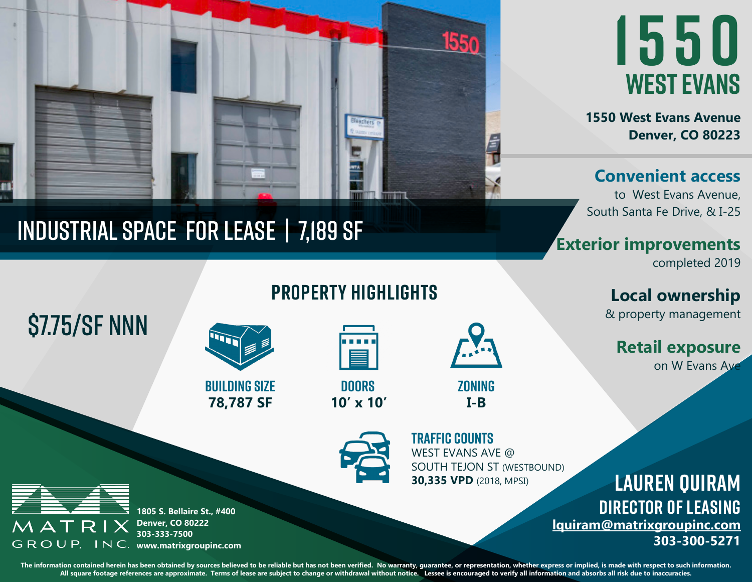

## Industrial space for lease | 7,189 sf

**1550 west evans**

**1550 West Evans Avenue Denver, CO 80223**

**Convenient access**

to West Evans Avenue, South Santa Fe Drive, & I-25

**Exterior improvements**

completed 2019

**Local ownership** & property management

**Retail exposure** on W Evans Ave

**property highlights**



**78,787 SF building size** **10' x 10' doors** 

**I-B zoning**



WEST EVANS AVE @ SOUTH TEJON ST (WESTBOUND) **30,335 VPD** (2018, MPSI) **TRAFFIC COUNTS**



MATR

\$7.75/SF NNN

**1805 S. Bellaire St., #400 Denver, CO 80222 303-333-7500 GROUP, INC.** www.matrixgroupinc.com

The information contained herein has been obtained by sources believed to be reliable but has not been verified. No warranty, guarantee, or representation, whether express or implied, is made with respect to such informati **All square footage references are approximate. Terms of lease are subject to change or withdrawal without notice. Lessee is encouraged to verify all information and absorbs all risk due to inaccuracies.**